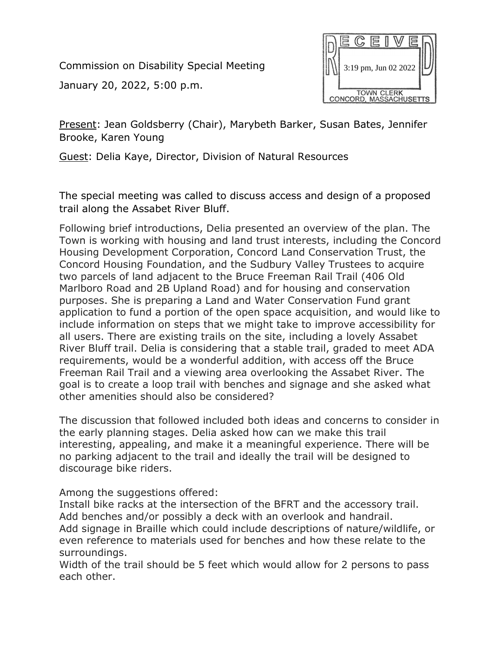Commission on Disability Special Meeting

January 20, 2022, 5:00 p.m.



Present: Jean Goldsberry (Chair), Marybeth Barker, Susan Bates, Jennifer Brooke, Karen Young

Guest: Delia Kaye, Director, Division of Natural Resources

The special meeting was called to discuss access and design of a proposed trail along the Assabet River Bluff.

Following brief introductions, Delia presented an overview of the plan. The Town is working with housing and land trust interests, including the Concord Housing Development Corporation, Concord Land Conservation Trust, the Concord Housing Foundation, and the Sudbury Valley Trustees to acquire two parcels of land adjacent to the Bruce Freeman Rail Trail (406 Old Marlboro Road and 2B Upland Road) and for housing and conservation purposes. She is preparing a Land and Water Conservation Fund grant application to fund a portion of the open space acquisition, and would like to include information on steps that we might take to improve accessibility for all users. There are existing trails on the site, including a lovely Assabet River Bluff trail. Delia is considering that a stable trail, graded to meet ADA requirements, would be a wonderful addition, with access off the Bruce Freeman Rail Trail and a viewing area overlooking the Assabet River. The goal is to create a loop trail with benches and signage and she asked what other amenities should also be considered?

The discussion that followed included both ideas and concerns to consider in the early planning stages. Delia asked how can we make this trail interesting, appealing, and make it a meaningful experience. There will be no parking adjacent to the trail and ideally the trail will be designed to discourage bike riders.

Among the suggestions offered:

Install bike racks at the intersection of the BFRT and the accessory trail. Add benches and/or possibly a deck with an overlook and handrail. Add signage in Braille which could include descriptions of nature/wildlife, or even reference to materials used for benches and how these relate to the surroundings.

Width of the trail should be 5 feet which would allow for 2 persons to pass each other.